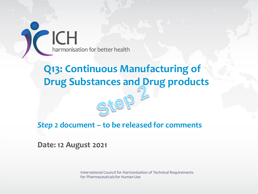ICH<br>harmonisation for better health

## **Q13: Continuous Manufacturing of Drug Substances and Drug products**

#### *Step 2* **document – to be released for comments**

S

**Date: 12 August 2021**

International Council for Harmonisation of Technical Requirements for Pharmaceuticals for Human Use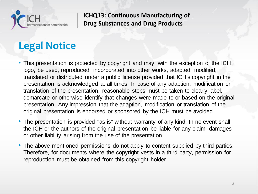

## **Legal Notice**

- This presentation is protected by copyright and may, with the exception of the ICH logo, be used, reproduced, incorporated into other works, adapted, modified, translated or distributed under a public license provided that ICH's copyright in the presentation is acknowledged at all times. In case of any adaption, modification or translation of the presentation, reasonable steps must be taken to clearly label, demarcate or otherwise identify that changes were made to or based on the original presentation. Any impression that the adaption, modification or translation of the original presentation is endorsed or sponsored by the ICH must be avoided.
- The presentation is provided "as is" without warranty of any kind. In no event shall the ICH or the authors of the original presentation be liable for any claim, damages or other liability arising from the use of the presentation.
- The above-mentioned permissions do not apply to content supplied by third parties. Therefore, for documents where the copyright vests in a third party, permission for reproduction must be obtained from this copyright holder.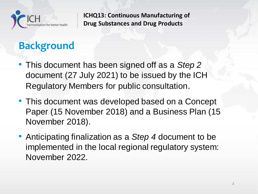

# **Background**

- This document has been signed off as a *Step 2* document (27 July 2021) to be issued by the ICH Regulatory Members for public consultation.
- This document was developed based on a Concept Paper (15 November 2018) and a Business Plan (15 November 2018).
- Anticipating finalization as a *Step 4* document to be implemented in the local regional regulatory system: November 2022.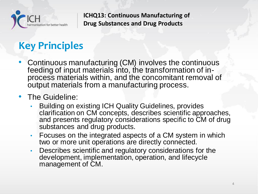

## **Key Principles**

- Continuous manufacturing (CM) involves the continuous feeding of input materials into, the transformation of inprocess materials within, and the concomitant removal of output materials from a manufacturing process.
- The Guideline:
	- Building on existing ICH Quality Guidelines, provides clarification on CM concepts, describes scientific approaches, and presents regulatory considerations specific to CM of drug substances and drug products.
	- Focuses on the integrated aspects of a CM system in which two or more unit operations are directly connected.
	- Describes scientific and regulatory considerations for the development, implementation, operation, and lifecycle management of CM.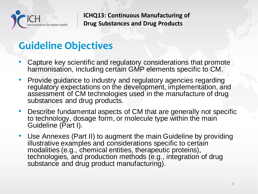

## **Guideline Objectives**

- Capture key scientific and regulatory considerations that promote harmonisation, including certain GMP elements specific to CM.
- Provide guidance to industry and regulatory agencies regarding regulatory expectations on the development, implementation, and assessment of CM technologies used in the manufacture of drug substances and drug products.
- Describe fundamental aspects of CM that are generally not specific to technology, dosage form, or molecule type within the main Guideline (Part I).
- Use Annexes (Part II) to augment the main Guideline by providing illustrative examples and considerations specific to certain modalities (e.g., chemical entities, therapeutic proteins), technologies, and production methods (e.g., integration of drug substance and drug product manufacturing).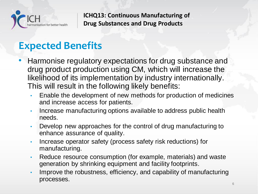

#### **Expected Benefits**

- Harmonise regulatory expectations for drug substance and drug product production using CM, which will increase the likelihood of its implementation by industry internationally. This will result in the following likely benefits:
	- Enable the development of new methods for production of medicines and increase access for patients.
	- Increase manufacturing options available to address public health needs.
	- Develop new approaches for the control of drug manufacturing to enhance assurance of quality.
	- Increase operator safety (process safety risk reductions) for manufacturing.
	- Reduce resource consumption (for example, materials) and waste generation by shrinking equipment and facility footprints.
	- Improve the robustness, efficiency, and capability of manufacturing processes.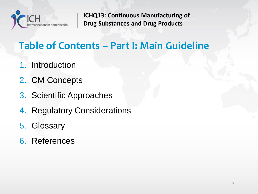

## **Table of Contents – Part I: Main Guideline**

- 1. Introduction
- 2. CM Concepts
- 3. Scientific Approaches
- 4. Regulatory Considerations
- 5. Glossary
- 6. References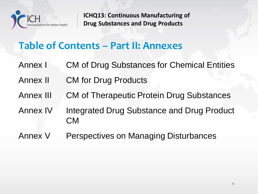

#### **Table of Contents – Part II: Annexes**

- Annex I CM of Drug Substances for Chemical Entities
- Annex II CM for Drug Products
- Annex III CM of Therapeutic Protein Drug Substances
- Annex IV Integrated Drug Substance and Drug Product CM
- Annex V Perspectives on Managing Disturbances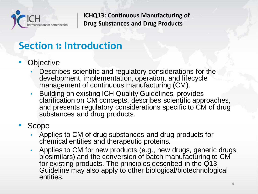

## **Section 1: Introduction**

- **Objective** 
	- Describes scientific and regulatory considerations for the development, implementation, operation, and lifecycle management of continuous manufacturing (CM).
	- Building on existing ICH Quality Guidelines, provides clarification on CM concepts, describes scientific approaches, and presents regulatory considerations specific to CM of drug substances and drug products.
- **Scope** 
	- Applies to CM of drug substances and drug products for chemical entities and therapeutic proteins.
	- Applies to CM for new products (e.g., new drugs, generic drugs, biosimilars) and the conversion of batch manufacturing to CM for existing products. The principles described in the  $\overline{Q}$ 13 Guideline may also apply to other biological/biotechnological entities.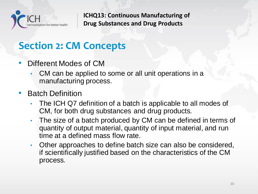

## **Section 2: CM Concepts**

- Different Modes of CM
	- CM can be applied to some or all unit operations in a manufacturing process.
- **Batch Definition** 
	- The ICH Q7 definition of a batch is applicable to all modes of CM, for both drug substances and drug products.
	- The size of a batch produced by CM can be defined in terms of quantity of output material, quantity of input material, and run time at a defined mass flow rate.
	- Other approaches to define batch size can also be considered, if scientifically justified based on the characteristics of the CM process.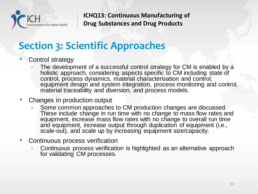

## **Section 3: Scientific Approaches**

- Control strategy
	- The development of a successful control strategy for CM is enabled by a holistic approach, considering aspects specific to CM including state of control, process dynamics, material characterisation and control, equipment design and system integration, process monitoring and control, material traceability and diversion, and process models.
- Changes in production output
	- Some common approaches to CM production changes are discussed. These include change in run time with no change to mass flow rates and equipment, increase mass flow rates with no change to overall run time and equipment, increase output through duplication of equipment (i.e., scale-out), and scale up by increasing equipment size/capacity.
- Continuous process verification
	- Continuous process verification is highlighted as an alternative approach for validating CM processes.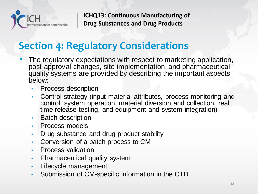

## **Section 4: Regulatory Considerations**

- The regulatory expectations with respect to marketing application, post-approval changes, site implementation, and pharmaceutical quality systems are provided by describing the important aspects below:
	- Process description
	- Control strategy (input material attributes, process monitoring and control, system operation, material diversion and collection, real time release testing, and equipment and system integration)
	- Batch description
	- Process models
	- Drug substance and drug product stability
	- Conversion of a batch process to CM
	- Process validation
	- Pharmaceutical quality system
	- Lifecycle management
	- Submission of CM-specific information in the CTD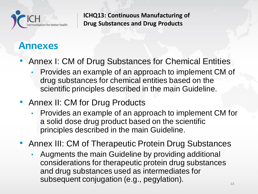

#### **Annexes**

- Annex I: CM of Drug Substances for Chemical Entities
	- Provides an example of an approach to implement CM of drug substances for chemical entities based on the scientific principles described in the main Guideline.
- Annex II: CM for Drug Products
	- Provides an example of an approach to implement CM for a solid dose drug product based on the scientific principles described in the main Guideline.
- Annex III: CM of Therapeutic Protein Drug Substances
	- Augments the main Guideline by providing additional considerations for therapeutic protein drug substances and drug substances used as intermediates for subsequent conjugation (e.g., pegylation).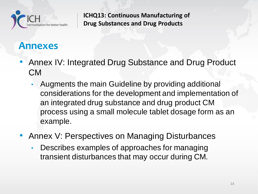

#### **Annexes**

- Annex IV: Integrated Drug Substance and Drug Product CM
	- Augments the main Guideline by providing additional considerations for the development and implementation of an integrated drug substance and drug product CM process using a small molecule tablet dosage form as an example.
- Annex V: Perspectives on Managing Disturbances
	- Describes examples of approaches for managing transient disturbances that may occur during CM.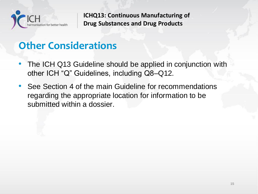

## **Other Considerations**

- The ICH Q13 Guideline should be applied in conjunction with other ICH "Q" Guidelines, including Q8–Q12.
- See Section 4 of the main Guideline for recommendations regarding the appropriate location for information to be submitted within a dossier.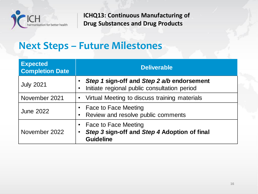

#### **Next Steps – Future Milestones**

| <b>Expected</b><br><b>Completion Date</b> | <b>Deliverable</b>                                                                                                        |
|-------------------------------------------|---------------------------------------------------------------------------------------------------------------------------|
| <b>July 2021</b>                          | Step 1 sign-off and Step 2 a/b endorsement<br>Initiate regional public consultation period<br>$\bullet$                   |
| November 2021                             | • Virtual Meeting to discuss training materials                                                                           |
| <b>June 2022</b>                          | <b>Face to Face Meeting</b><br>Review and resolve public comments<br>$\bullet$                                            |
| November 2022                             | <b>Face to Face Meeting</b><br>$\bullet$<br>Step 3 sign-off and Step 4 Adoption of final<br>$\bullet$<br><b>Guideline</b> |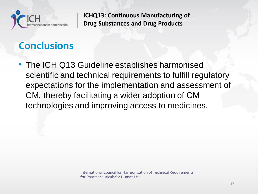

## **Conclusions**

• The ICH Q13 Guideline establishes harmonised scientific and technical requirements to fulfill regulatory expectations for the implementation and assessment of CM, thereby facilitating a wider adoption of CM technologies and improving access to medicines.

> International Council for Harmonisation of Technical Requirements for Pharmaceuticals for Human Use